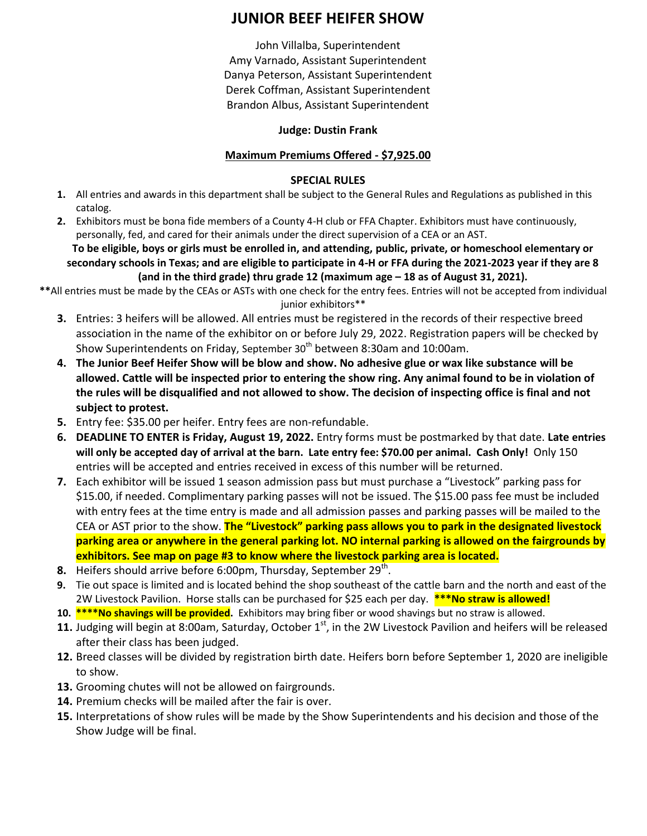# **JUNIOR BEEF HEIFER SHOW**

John Villalba, Superintendent Amy Varnado, Assistant Superintendent Danya Peterson, Assistant Superintendent Derek Coffman, Assistant Superintendent Brandon Albus, Assistant Superintendent

### **Judge: Dustin Frank**

### **Maximum Premiums Offered - \$7,925.00**

### **SPECIAL RULES**

- **1.** All entries and awards in this department shall be subject to the General Rules and Regulations as published in this catalog.
- **2.** Exhibitors must be bona fide members of a County 4-H club or FFA Chapter. Exhibitors must have continuously, personally, fed, and cared for their animals under the direct supervision of a CEA or an AST.

**To be eligible, boys or girls must be enrolled in, and attending, public, private, or homeschool elementary or secondary schools in Texas; and are eligible to participate in 4-H or FFA during the 2021-2023 year if they are 8 (and in the third grade) thru grade 12 (maximum age – 18 as of August 31, 2021).**

**\*\***All entries must be made by the CEAs or ASTs with one check for the entry fees. Entries will not be accepted from individual junior exhibitors\*\*

- **3.** Entries: 3 heifers will be allowed. All entries must be registered in the records of their respective breed association in the name of the exhibitor on or before July 29, 2022. Registration papers will be checked by Show Superintendents on Friday, September 30<sup>th</sup> between 8:30am and 10:00am.
- **4. The Junior Beef Heifer Show will be blow and show. No adhesive glue or wax like substance will be allowed. Cattle will be inspected prior to entering the show ring. Any animal found to be in violation of the rules will be disqualified and not allowed to show. The decision of inspecting office is final and not subject to protest.**
- **5.** Entry fee: \$35.00 per heifer. Entry fees are non-refundable.
- **6. DEADLINE TO ENTER is Friday, August 19, 2022.** Entry forms must be postmarked by that date. **Late entries will only be accepted day of arrival at the barn. Late entry fee: \$70.00 per animal. Cash Only!** Only 150 entries will be accepted and entries received in excess of this number will be returned.
- **7.** Each exhibitor will be issued 1 season admission pass but must purchase a "Livestock" parking pass for \$15.00, if needed. Complimentary parking passes will not be issued. The \$15.00 pass fee must be included with entry fees at the time entry is made and all admission passes and parking passes will be mailed to the CEA or AST prior to the show. **The "Livestock" parking pass allows you to park in the designated livestock parking area or anywhere in the general parking lot. NO internal parking is allowed on the fairgrounds by exhibitors. See map on page #3 to know where the livestock parking area is located.**
- 8. Heifers should arrive before 6:00pm, Thursday, September 29<sup>th</sup>.
- **9.** Tie out space is limited and is located behind the shop southeast of the cattle barn and the north and east of the 2W Livestock Pavilion. Horse stalls can be purchased for \$25 each per day. **\*\*\*No straw is allowed!**
- **10. \*\*\*\*No shavings will be provided.** Exhibitors may bring fiber or wood shavings but no straw is allowed.
- 11. Judging will begin at 8:00am, Saturday, October 1<sup>st</sup>, in the 2W Livestock Pavilion and heifers will be released after their class has been judged.
- **12.** Breed classes will be divided by registration birth date. Heifers born before September 1, 2020 are ineligible to show.
- **13.** Grooming chutes will not be allowed on fairgrounds.
- **14.** Premium checks will be mailed after the fair is over.
- **15.** Interpretations of show rules will be made by the Show Superintendents and his decision and those of the Show Judge will be final.